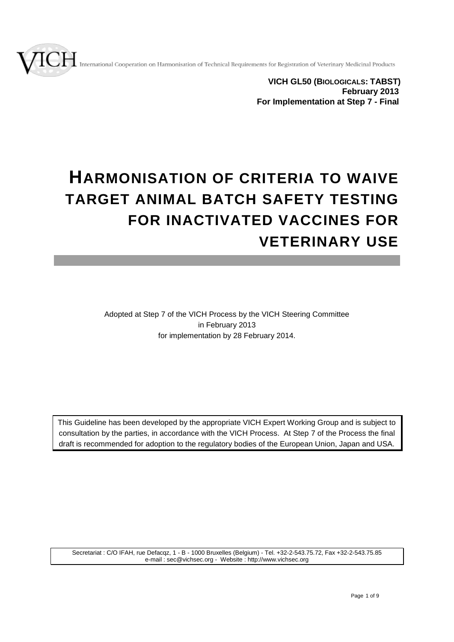International Cooperation on Harmonisation of Technical Requirements for Registration of Veterinary Medicinal Products



# **HARMONISATION OF CRITERIA TO WAIVE TARGET ANIMAL BATCH SAFETY TESTING FOR INACTIVATED VACCINES FOR VETERINARY USE**

Adopted at Step 7 of the VICH Process by the VICH Steering Committee in February 2013 for implementation by 28 February 2014.

This Guideline has been developed by the appropriate VICH Expert Working Group and is subject to consultation by the parties, in accordance with the VICH Process. At Step 7 of the Process the final draft is recommended for adoption to the regulatory bodies of the European Union, Japan and USA.

Secretariat : C/O IFAH, rue Defacqz, 1 - B - 1000 Bruxelles (Belgium) - Tel. +32-2-543.75.72, Fax +32-2-543.75.85 e-mail : sec@vichsec.org - Website : http://www.vichsec.org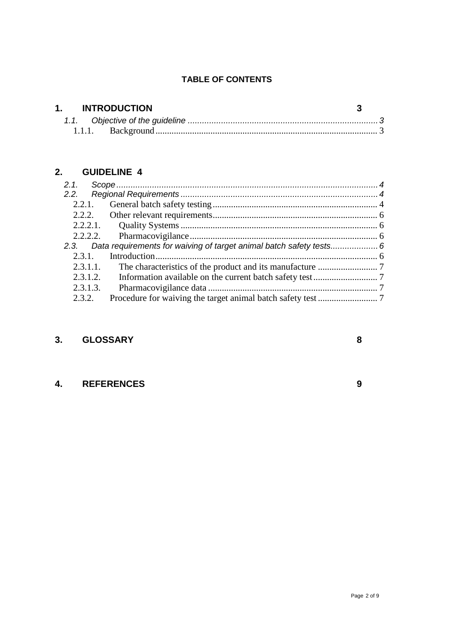# **TABLE OF CONTENTS**

| 1. INTRODUCTION |  |
|-----------------|--|
|                 |  |
|                 |  |

# **2. [GUIDELINE](#page-3-0) 4**

| 2.1.     |                                                                         |  |
|----------|-------------------------------------------------------------------------|--|
| 2.2.     |                                                                         |  |
| 2.2.1.   |                                                                         |  |
|          |                                                                         |  |
|          |                                                                         |  |
|          |                                                                         |  |
|          | 2.3. Data requirements for waiving of target animal batch safety tests6 |  |
| 2.3.1.   |                                                                         |  |
| 2.3.1.1. |                                                                         |  |
| 2.3.1.2. |                                                                         |  |
| 2.3.1.3. |                                                                         |  |
| 2.3.2.   |                                                                         |  |

# **3. [GLOSSARY](#page-6-4) 8**

# **4. [REFERENCES](#page-7-0) 9**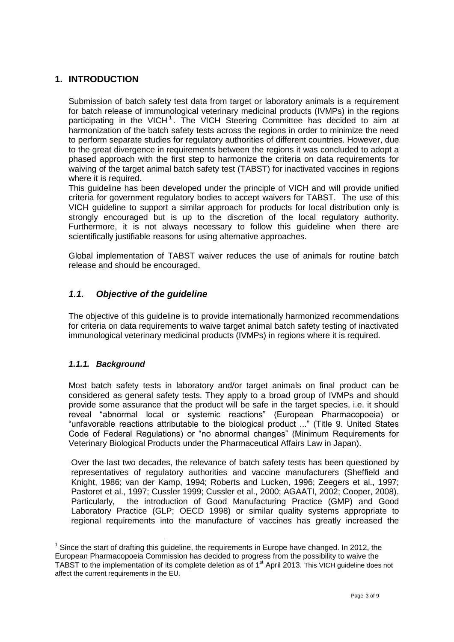# <span id="page-2-0"></span>**1. INTRODUCTION**

Submission of batch safety test data from target or laboratory animals is a requirement for batch release of immunological veterinary medicinal products (IVMPs) in the regions participating in the VICH<sup>1</sup>. The VICH Steering Committee has decided to aim at harmonization of the batch safety tests across the regions in order to minimize the need to perform separate studies for regulatory authorities of different countries. However, due to the great divergence in requirements between the regions it was concluded to adopt a phased approach with the first step to harmonize the criteria on data requirements for waiving of the target animal batch safety test (TABST) for inactivated vaccines in regions where it is required.

This guideline has been developed under the principle of VICH and will provide unified criteria for government regulatory bodies to accept waivers for TABST. The use of this VICH guideline to support a similar approach for products for local distribution only is strongly encouraged but is up to the discretion of the local regulatory authority. Furthermore, it is not always necessary to follow this guideline when there are scientifically justifiable reasons for using alternative approaches.

Global implementation of TABST waiver reduces the use of animals for routine batch release and should be encouraged.

# <span id="page-2-1"></span>*1.1. Objective of the guideline*

The objective of this guideline is to provide internationally harmonized recommendations for criteria on data requirements to waive target animal batch safety testing of inactivated immunological veterinary medicinal products (IVMPs) in regions where it is required.

#### <span id="page-2-2"></span>*1.1.1. Background*

-

Most batch safety tests in laboratory and/or target animals on final product can be considered as general safety tests. They apply to a broad group of IVMPs and should provide some assurance that the product will be safe in the target species, i.e. it should reveal "abnormal local or systemic reactions" (European Pharmacopoeia) or "unfavorable reactions attributable to the biological product ..." (Title 9. United States Code of Federal Regulations) or "no abnormal changes" (Minimum Requirements for Veterinary Biological Products under the Pharmaceutical Affairs Law in Japan).

Over the last two decades, the relevance of batch safety tests has been questioned by representatives of regulatory authorities and vaccine manufacturers (Sheffield and Knight, 1986; van der Kamp, 1994; Roberts and Lucken, 1996; Zeegers et al., 1997; Pastoret et al., 1997; Cussler 1999; Cussler et al., 2000; AGAATI, 2002; Cooper, 2008). Particularly, the introduction of Good Manufacturing Practice (GMP) and Good Laboratory Practice (GLP; OECD 1998) or similar quality systems appropriate to regional requirements into the manufacture of vaccines has greatly increased the

 $1$  Since the start of drafting this guideline, the requirements in Europe have changed. In 2012, the European Pharmacopoeia Commission has decided to progress from the possibility to waive the TABST to the implementation of its complete deletion as of 1<sup>st</sup> April 2013. This VICH guideline does not affect the current requirements in the EU.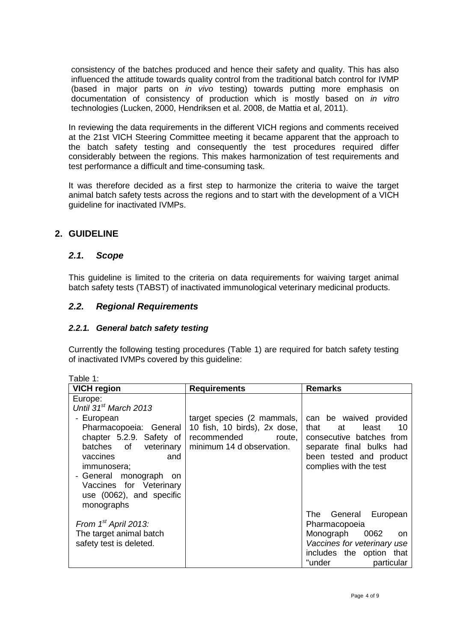consistency of the batches produced and hence their safety and quality. This has also influenced the attitude towards quality control from the traditional batch control for IVMP (based in major parts on *in vivo* testing) towards putting more emphasis on documentation of consistency of production which is mostly based on *in vitro* technologies (Lucken, 2000, Hendriksen et al. 2008, de Mattia et al, 2011).

In reviewing the data requirements in the different VICH regions and comments received at the 21st VICH Steering Committee meeting it became apparent that the approach to the batch safety testing and consequently the test procedures required differ considerably between the regions. This makes harmonization of test requirements and test performance a difficult and time-consuming task.

It was therefore decided as a first step to harmonize the criteria to waive the target animal batch safety tests across the regions and to start with the development of a VICH guideline for inactivated IVMPs.

# <span id="page-3-1"></span><span id="page-3-0"></span>**2. GUIDELINE**

## *2.1. Scope*

This guideline is limited to the criteria on data requirements for waiving target animal batch safety tests (TABST) of inactivated immunological veterinary medicinal products.

# <span id="page-3-2"></span>*2.2. Regional Requirements*

## <span id="page-3-3"></span>*2.2.1. General batch safety testing*

Currently the following testing procedures (Table 1) are required for batch safety testing of inactivated IVMPs covered by this guideline:

| rabie r.                          |                              |                                |  |  |
|-----------------------------------|------------------------------|--------------------------------|--|--|
| <b>VICH region</b>                | <b>Requirements</b>          | <b>Remarks</b>                 |  |  |
| Europe:                           |                              |                                |  |  |
| Until 31 <sup>st</sup> March 2013 |                              |                                |  |  |
| - European                        | target species (2 mammals,   | can be waived provided         |  |  |
| Pharmacopoeia: General            | 10 fish, 10 birds), 2x dose, | that<br>10<br>at<br>least      |  |  |
| chapter 5.2.9. Safety of          | recommended<br>route,        | consecutive batches from       |  |  |
| batches of<br>veterinary          | minimum 14 d observation.    | separate final bulks had       |  |  |
| vaccines<br>and                   |                              | been tested and product        |  |  |
| immunosera;                       |                              | complies with the test         |  |  |
| - General monograph on            |                              |                                |  |  |
| Vaccines for Veterinary           |                              |                                |  |  |
| use (0062), and specific          |                              |                                |  |  |
| monographs                        |                              |                                |  |  |
|                                   |                              | The General<br>European        |  |  |
| From $1st$ April 2013:            |                              | Pharmacopoeia                  |  |  |
| The target animal batch           |                              | Monograph<br>0062<br><b>on</b> |  |  |
| safety test is deleted.           |                              | Vaccines for veterinary use    |  |  |
|                                   |                              | includes the option that       |  |  |
|                                   |                              | "under<br>particular           |  |  |

 $Table 1:$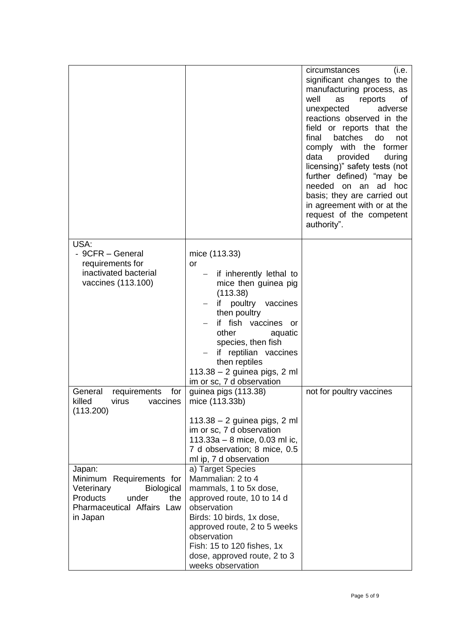|                                                                                                                                             |                                                                                                                                                                                                                                                                                                                            | (i.e.<br>circumstances<br>significant changes to the<br>manufacturing process, as<br>well<br>as<br>reports<br>οf<br>unexpected<br>adverse<br>reactions observed in the<br>field or reports that the<br>final<br>batches<br>do<br>not<br>comply with the former<br>data<br>provided<br>during<br>licensing)" safety tests (not<br>further defined) "may be<br>needed on an<br>ad hoc<br>basis; they are carried out<br>in agreement with or at the<br>request of the competent<br>authority". |
|---------------------------------------------------------------------------------------------------------------------------------------------|----------------------------------------------------------------------------------------------------------------------------------------------------------------------------------------------------------------------------------------------------------------------------------------------------------------------------|----------------------------------------------------------------------------------------------------------------------------------------------------------------------------------------------------------------------------------------------------------------------------------------------------------------------------------------------------------------------------------------------------------------------------------------------------------------------------------------------|
| USA:<br>- 9CFR - General<br>requirements for<br>inactivated bacterial<br>vaccines (113.100)                                                 | mice (113.33)<br><b>or</b><br>- if inherently lethal to<br>mice then guinea pig<br>(113.38)<br>poultry vaccines<br>if<br>then poultry<br>if fish vaccines<br><b>or</b><br>other<br>aquatic<br>species, then fish<br>reptilian vaccines<br>if<br>then reptiles<br>113.38 - 2 guinea pigs, 2 ml<br>im or sc, 7 d observation |                                                                                                                                                                                                                                                                                                                                                                                                                                                                                              |
| General<br>for<br>requirements<br>killed<br>virus<br>vaccines<br>(113.200)                                                                  | guinea pigs (113.38)<br>mice (113.33b)<br>$113.38 - 2$ guinea pigs, 2 ml<br>im or sc, 7 d observation<br>113.33a - 8 mice, 0.03 ml ic,<br>7 d observation; 8 mice, 0.5<br>ml ip, 7 d observation                                                                                                                           | not for poultry vaccines                                                                                                                                                                                                                                                                                                                                                                                                                                                                     |
| Japan:<br>Minimum Requirements for<br>Veterinary<br><b>Biological</b><br>Products<br>under<br>the<br>Pharmaceutical Affairs Law<br>in Japan | a) Target Species<br>Mammalian: 2 to 4<br>mammals, 1 to 5x dose,<br>approved route, 10 to 14 d<br>observation<br>Birds: 10 birds, 1x dose,<br>approved route, 2 to 5 weeks<br>observation<br>Fish: 15 to 120 fishes, 1x<br>dose, approved route, 2 to 3<br>weeks observation                                               |                                                                                                                                                                                                                                                                                                                                                                                                                                                                                              |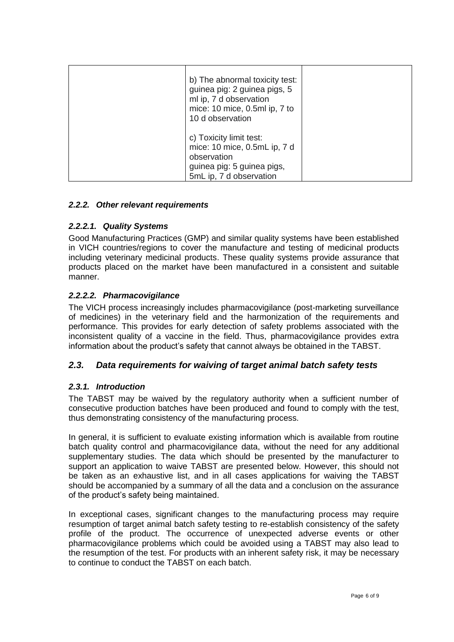| b) The abnormal toxicity test:<br>guinea pig: 2 guinea pigs, 5<br>ml ip, 7 d observation<br>mice: 10 mice, 0.5ml ip, 7 to<br>10 d observation |  |
|-----------------------------------------------------------------------------------------------------------------------------------------------|--|
| c) Toxicity limit test:<br>mice: 10 mice, 0.5mL ip, 7 d<br>observation<br>guinea pig: 5 guinea pigs,<br>5mL ip, 7 d observation               |  |

#### <span id="page-5-0"></span>*2.2.2. Other relevant requirements*

#### <span id="page-5-1"></span>*2.2.2.1. Quality Systems*

Good Manufacturing Practices (GMP) and similar quality systems have been established in VICH countries/regions to cover the manufacture and testing of medicinal products including veterinary medicinal products. These quality systems provide assurance that products placed on the market have been manufactured in a consistent and suitable manner.

#### <span id="page-5-2"></span>*2.2.2.2. Pharmacovigilance*

The VICH process increasingly includes pharmacovigilance (post-marketing surveillance of medicines) in the veterinary field and the harmonization of the requirements and performance. This provides for early detection of safety problems associated with the inconsistent quality of a vaccine in the field. Thus, pharmacovigilance provides extra information about the product's safety that cannot always be obtained in the TABST.

## <span id="page-5-3"></span>*2.3. Data requirements for waiving of target animal batch safety tests*

#### <span id="page-5-4"></span>*2.3.1. Introduction*

The TABST may be waived by the regulatory authority when a sufficient number of consecutive production batches have been produced and found to comply with the test, thus demonstrating consistency of the manufacturing process.

In general, it is sufficient to evaluate existing information which is available from routine batch quality control and pharmacovigilance data, without the need for any additional supplementary studies. The data which should be presented by the manufacturer to support an application to waive TABST are presented below. However, this should not be taken as an exhaustive list, and in all cases applications for waiving the TABST should be accompanied by a summary of all the data and a conclusion on the assurance of the product's safety being maintained.

In exceptional cases, significant changes to the manufacturing process may require resumption of target animal batch safety testing to re-establish consistency of the safety profile of the product. The occurrence of unexpected adverse events or other pharmacovigilance problems which could be avoided using a TABST may also lead to the resumption of the test. For products with an inherent safety risk, it may be necessary to continue to conduct the TABST on each batch.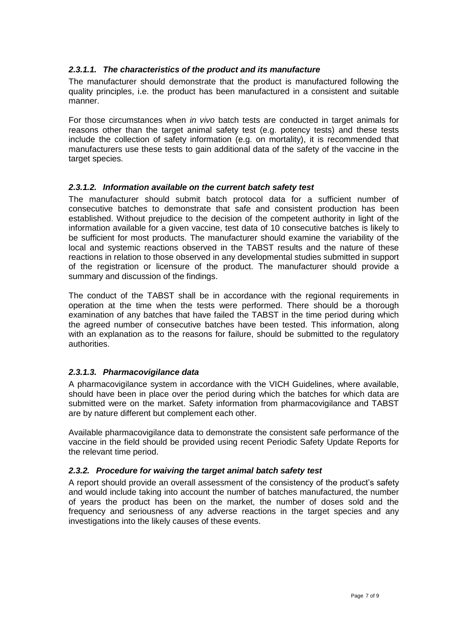#### <span id="page-6-0"></span>*2.3.1.1. The characteristics of the product and its manufacture*

The manufacturer should demonstrate that the product is manufactured following the quality principles, i.e. the product has been manufactured in a consistent and suitable manner.

For those circumstances when *in vivo* batch tests are conducted in target animals for reasons other than the target animal safety test (e.g. potency tests) and these tests include the collection of safety information (e.g. on mortality), it is recommended that manufacturers use these tests to gain additional data of the safety of the vaccine in the target species.

#### <span id="page-6-1"></span>*2.3.1.2. Information available on the current batch safety test*

The manufacturer should submit batch protocol data for a sufficient number of consecutive batches to demonstrate that safe and consistent production has been established. Without prejudice to the decision of the competent authority in light of the information available for a given vaccine, test data of 10 consecutive batches is likely to be sufficient for most products. The manufacturer should examine the variability of the local and systemic reactions observed in the TABST results and the nature of these reactions in relation to those observed in any developmental studies submitted in support of the registration or licensure of the product. The manufacturer should provide a summary and discussion of the findings.

The conduct of the TABST shall be in accordance with the regional requirements in operation at the time when the tests were performed. There should be a thorough examination of any batches that have failed the TABST in the time period during which the agreed number of consecutive batches have been tested. This information, along with an explanation as to the reasons for failure, should be submitted to the regulatory authorities.

## <span id="page-6-2"></span>*2.3.1.3. Pharmacovigilance data*

A pharmacovigilance system in accordance with the VICH Guidelines, where available, should have been in place over the period during which the batches for which data are submitted were on the market. Safety information from pharmacovigilance and TABST are by nature different but complement each other.

Available pharmacovigilance data to demonstrate the consistent safe performance of the vaccine in the field should be provided using recent Periodic Safety Update Reports for the relevant time period.

#### <span id="page-6-3"></span>*2.3.2. Procedure for waiving the target animal batch safety test*

<span id="page-6-4"></span>A report should provide an overall assessment of the consistency of the product's safety and would include taking into account the number of batches manufactured, the number of years the product has been on the market, the number of doses sold and the frequency and seriousness of any adverse reactions in the target species and any investigations into the likely causes of these events.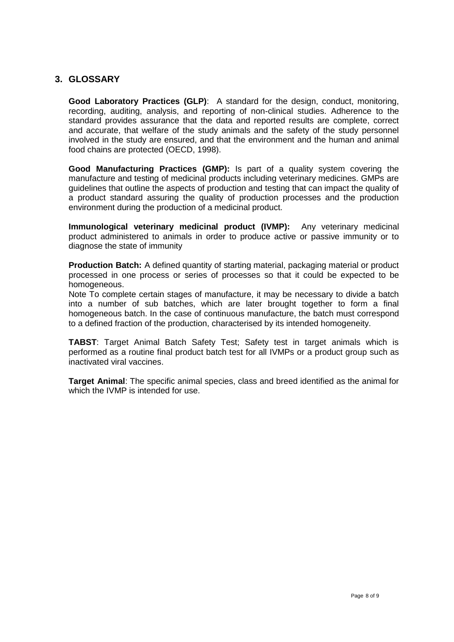## **3. GLOSSARY**

**Good Laboratory Practices (GLP)**: A standard for the design, conduct, monitoring, recording, auditing, analysis, and reporting of non-clinical studies. Adherence to the standard provides assurance that the data and reported results are complete, correct and accurate, that welfare of the study animals and the safety of the study personnel involved in the study are ensured, and that the environment and the human and animal food chains are protected (OECD, 1998).

**Good Manufacturing Practices (GMP):** Is part of a quality system covering the manufacture and testing of medicinal products including veterinary medicines. GMPs are guidelines that outline the aspects of production and testing that can impact the quality of a product standard assuring the quality of production processes and the production environment during the production of a medicinal product.

**Immunological veterinary medicinal product (IVMP):** Any veterinary medicinal product administered to animals in order to produce active or passive immunity or to diagnose the state of immunity

**Production Batch:** A defined quantity of starting material, packaging material or product processed in one process or series of processes so that it could be expected to be homogeneous.

Note To complete certain stages of manufacture, it may be necessary to divide a batch into a number of sub batches, which are later brought together to form a final homogeneous batch. In the case of continuous manufacture, the batch must correspond to a defined fraction of the production, characterised by its intended homogeneity.

**TABST**: Target Animal Batch Safety Test; Safety test in target animals which is performed as a routine final product batch test for all IVMPs or a product group such as inactivated viral vaccines.

<span id="page-7-0"></span>**Target Animal**: The specific animal species, class and breed identified as the animal for which the IVMP is intended for use.